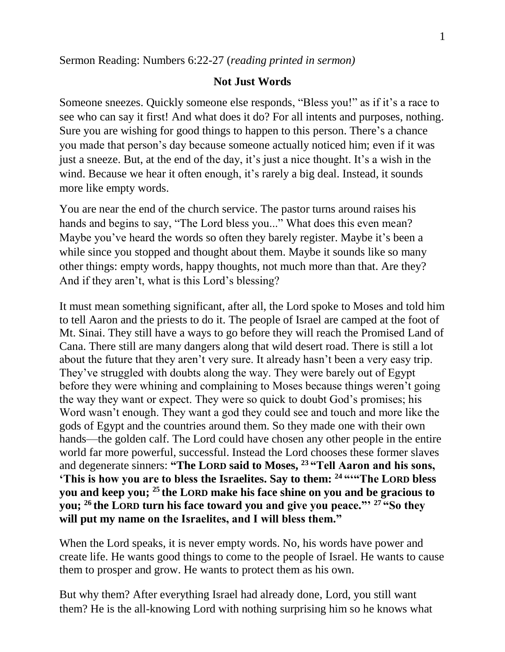## **Not Just Words**

Someone sneezes. Quickly someone else responds, "Bless you!" as if it's a race to see who can say it first! And what does it do? For all intents and purposes, nothing. Sure you are wishing for good things to happen to this person. There's a chance you made that person's day because someone actually noticed him; even if it was just a sneeze. But, at the end of the day, it's just a nice thought. It's a wish in the wind. Because we hear it often enough, it's rarely a big deal. Instead, it sounds more like empty words.

You are near the end of the church service. The pastor turns around raises his hands and begins to say, "The Lord bless you..." What does this even mean? Maybe you've heard the words so often they barely register. Maybe it's been a while since you stopped and thought about them. Maybe it sounds like so many other things: empty words, happy thoughts, not much more than that. Are they? And if they aren't, what is this Lord's blessing?

It must mean something significant, after all, the Lord spoke to Moses and told him to tell Aaron and the priests to do it. The people of Israel are camped at the foot of Mt. Sinai. They still have a ways to go before they will reach the Promised Land of Cana. There still are many dangers along that wild desert road. There is still a lot about the future that they aren't very sure. It already hasn't been a very easy trip. They've struggled with doubts along the way. They were barely out of Egypt before they were whining and complaining to Moses because things weren't going the way they want or expect. They were so quick to doubt God's promises; his Word wasn't enough. They want a god they could see and touch and more like the gods of Egypt and the countries around them. So they made one with their own hands—the golden calf. The Lord could have chosen any other people in the entire world far more powerful, successful. Instead the Lord chooses these former slaves and degenerate sinners: **"The LORD said to Moses, <sup>23</sup> "Tell Aaron and his sons, 'This is how you are to bless the Israelites. Say to them: <sup>24</sup> "'"The LORD bless you and keep you; <sup>25</sup> the LORD make his face shine on you and be gracious to you; <sup>26</sup> the LORD turn his face toward you and give you peace."' <sup>27</sup> "So they will put my name on the Israelites, and I will bless them."**

When the Lord speaks, it is never empty words. No, his words have power and create life. He wants good things to come to the people of Israel. He wants to cause them to prosper and grow. He wants to protect them as his own.

But why them? After everything Israel had already done, Lord, you still want them? He is the all-knowing Lord with nothing surprising him so he knows what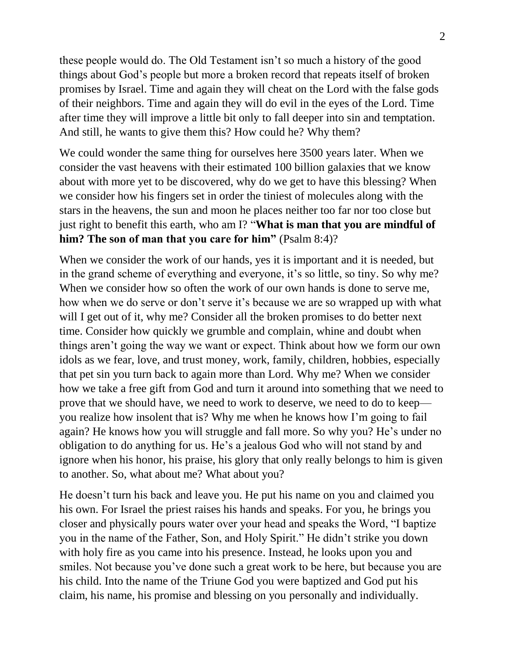these people would do. The Old Testament isn't so much a history of the good things about God's people but more a broken record that repeats itself of broken promises by Israel. Time and again they will cheat on the Lord with the false gods of their neighbors. Time and again they will do evil in the eyes of the Lord. Time after time they will improve a little bit only to fall deeper into sin and temptation. And still, he wants to give them this? How could he? Why them?

We could wonder the same thing for ourselves here 3500 years later. When we consider the vast heavens with their estimated 100 billion galaxies that we know about with more yet to be discovered, why do we get to have this blessing? When we consider how his fingers set in order the tiniest of molecules along with the stars in the heavens, the sun and moon he places neither too far nor too close but just right to benefit this earth, who am I? "**What is man that you are mindful of him? The son of man that you care for him"** (Psalm 8:4)?

When we consider the work of our hands, yes it is important and it is needed, but in the grand scheme of everything and everyone, it's so little, so tiny. So why me? When we consider how so often the work of our own hands is done to serve me, how when we do serve or don't serve it's because we are so wrapped up with what will I get out of it, why me? Consider all the broken promises to do better next time. Consider how quickly we grumble and complain, whine and doubt when things aren't going the way we want or expect. Think about how we form our own idols as we fear, love, and trust money, work, family, children, hobbies, especially that pet sin you turn back to again more than Lord. Why me? When we consider how we take a free gift from God and turn it around into something that we need to prove that we should have, we need to work to deserve, we need to do to keep you realize how insolent that is? Why me when he knows how I'm going to fail again? He knows how you will struggle and fall more. So why you? He's under no obligation to do anything for us. He's a jealous God who will not stand by and ignore when his honor, his praise, his glory that only really belongs to him is given to another. So, what about me? What about you?

He doesn't turn his back and leave you. He put his name on you and claimed you his own. For Israel the priest raises his hands and speaks. For you, he brings you closer and physically pours water over your head and speaks the Word, "I baptize you in the name of the Father, Son, and Holy Spirit." He didn't strike you down with holy fire as you came into his presence. Instead, he looks upon you and smiles. Not because you've done such a great work to be here, but because you are his child. Into the name of the Triune God you were baptized and God put his claim, his name, his promise and blessing on you personally and individually.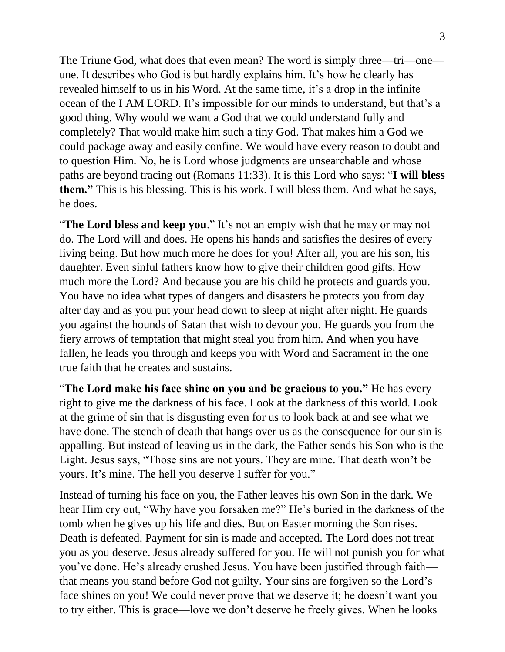The Triune God, what does that even mean? The word is simply three—tri—one une. It describes who God is but hardly explains him. It's how he clearly has revealed himself to us in his Word. At the same time, it's a drop in the infinite ocean of the I AM LORD. It's impossible for our minds to understand, but that's a good thing. Why would we want a God that we could understand fully and completely? That would make him such a tiny God. That makes him a God we could package away and easily confine. We would have every reason to doubt and to question Him. No, he is Lord whose judgments are unsearchable and whose paths are beyond tracing out (Romans 11:33). It is this Lord who says: "**I will bless them."** This is his blessing. This is his work. I will bless them. And what he says, he does.

"**The Lord bless and keep you**." It's not an empty wish that he may or may not do. The Lord will and does. He opens his hands and satisfies the desires of every living being. But how much more he does for you! After all, you are his son, his daughter. Even sinful fathers know how to give their children good gifts. How much more the Lord? And because you are his child he protects and guards you. You have no idea what types of dangers and disasters he protects you from day after day and as you put your head down to sleep at night after night. He guards you against the hounds of Satan that wish to devour you. He guards you from the fiery arrows of temptation that might steal you from him. And when you have fallen, he leads you through and keeps you with Word and Sacrament in the one true faith that he creates and sustains.

"**The Lord make his face shine on you and be gracious to you."** He has every right to give me the darkness of his face. Look at the darkness of this world. Look at the grime of sin that is disgusting even for us to look back at and see what we have done. The stench of death that hangs over us as the consequence for our sin is appalling. But instead of leaving us in the dark, the Father sends his Son who is the Light. Jesus says, "Those sins are not yours. They are mine. That death won't be yours. It's mine. The hell you deserve I suffer for you."

Instead of turning his face on you, the Father leaves his own Son in the dark. We hear Him cry out, "Why have you forsaken me?" He's buried in the darkness of the tomb when he gives up his life and dies. But on Easter morning the Son rises. Death is defeated. Payment for sin is made and accepted. The Lord does not treat you as you deserve. Jesus already suffered for you. He will not punish you for what you've done. He's already crushed Jesus. You have been justified through faith that means you stand before God not guilty. Your sins are forgiven so the Lord's face shines on you! We could never prove that we deserve it; he doesn't want you to try either. This is grace—love we don't deserve he freely gives. When he looks